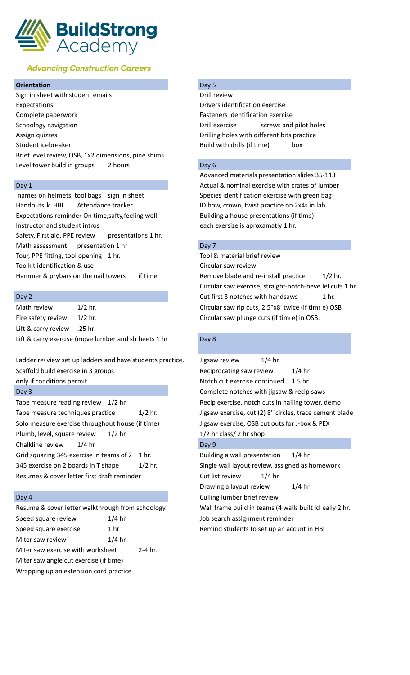

# **Advancing Construction Careers**

## **Orientation** Day 5

Sign in sheet with student emails **Signally Signally Review** Drill review Expectations Drivers identification exercise Complete paperwork Fasteners identification exercise Schoology navigation **Drill exercise** screws and pilot holes Assign quizzes Drilling holes with different bits practice Student icebreaker and the student is example at the Build with drills (if time) box Brief level review, OSB, 1x2 dimensions, pine shims Level tower build in groups 2 hours and the United States of Day 6

Handouts, k HBI Attendance tracker ID bow, crown, twist practice on 2x4s in lab Expectations reminder On time, safty, feeling well. Building a house presentations (if time) Instructor and student intros each exersize is aproxamatly 1 hr. Safety, First aid, PPE review presentations 1 hr. Math assessment presentation 1 hr Day 7 Tour, PPE fitting, tool opening 1 hr. Tool & material brief review Toolkit identification & use Circular saw review Hammer & prybars on the nail towers if time Remove blade and re-install practice 1/2 hr.

Fire safety review 1/2 hr. Circular saw plunge cuts (if time) in OSB. Lift & carry review .25 hr Lift & carry exercise (move lumber and sh heets 1 hr Day 8

Tape measure reading review  $1/2$  hr. Tape measure techniques practice 1/2 hr. Solo measure exercise throughout house (if time) Plumb, level, square review 1/2 hr Chalkline review  $1/4$  hr Grid squaring 345 exercise in teams of 2 1 hr. Building a wall presentation 1/4 hr 345 exercise on 2 boards in T shape 1/2 hr. Single wall layout review, assigned as homework Resumes & cover letter first draft reminder Cut list review 1/4 hr

| Resume & cover letter walkthrough from schoology |          |           |
|--------------------------------------------------|----------|-----------|
| Speed square review                              | $1/4$ hr |           |
| Speed square exercise                            | 1 hr     |           |
| Miter saw review                                 | $1/4$ hr |           |
| Miter saw exercise with worksheet                |          | $2-4$ hr. |
| Miter saw angle cut exercise (if time)           |          |           |
| Wrapping up an extension cord practice           |          |           |

Advanced materials presentation slides 35-113 Day 1 **Day 1 Day 1 Actual & nominal exercise with crates of lumber**  $\alpha$ names on helmets, tool bags sign in sheet Species identification exercise with green bag

Circular saw exercise, straight-notch-beve lel cuts 1 hr Day 2 Cut first 3 notches with handsaws 1 hr. Math review 1/2 hr. Circular saw rip cuts, 2.5"x8' twice (if time e) OSB

| $1/4$ hr<br>Jigsaw review                               |
|---------------------------------------------------------|
| Reciprocating saw review<br>$1/4$ hr                    |
| Notch cut exercise continued<br>$1.5$ hr.               |
| Complete notches with jigsaw & recip saws               |
| Recip exercise, notch cuts in nailing tower, demo       |
| Jigsaw exercise, cut (2) 8" circles, trace cement blade |
| Jigsaw exercise, OSB cut outs for J-box & PEX           |
| 1/2 hr class/ 2 hr shop                                 |
| Day 9                                                   |
|                                                         |

Drawing a layout review 1/4 hr Day 4 Culling lumber brief review Wall frame build in teams (4 walls built ideally 2 hr. Job search assignment reminder

Remind students to set up an accunt in HBI